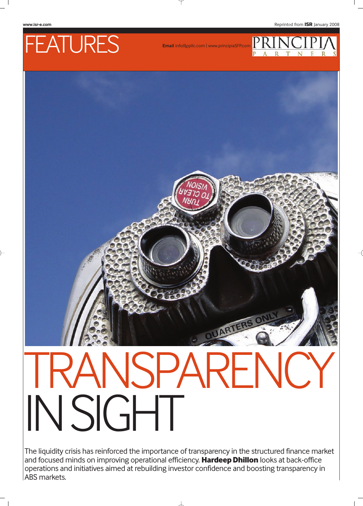### **www.isr-e.com** Reprinted from **ISR** January 2008

## FEATURES

**Email** info@ppllc.com | www.principiaSFP.com





# NSPARFNC. IN SIGHT

The liquidity crisis has reinforced the importance of transparency in the structured finance market and focused minds on improving operational efficiency. **Hardeep Dhillon** looks at back-office operations and initiatives aimed at rebuilding investor confidence and boosting transparency in ABS markets.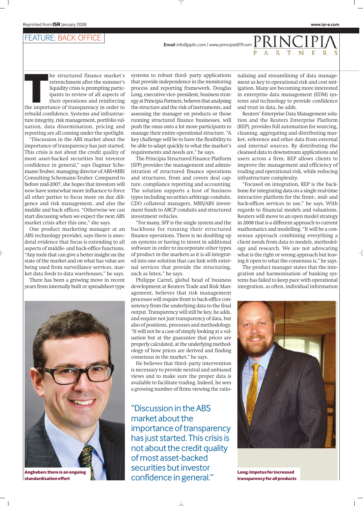#### FEATURE: BACK OFFICE

**Email** info@ppllc.com | www.principiaSFP.com  $PRI$ 

**THE INTERNATE:**<br>
The structured finance market's<br>
retrenchment after the summer's<br>
liquidity crisis is prompting partic-<br>
ipants to review of all aspects of<br>
their operations and reinforcing<br>
the importance of transparenc he structured finance market's retrenchment after the summer's liquidity crisis is prompting participants to review of all aspects of their operations and reinforcing rebuild confidence. Systems and infrastructure integrity, risk management, portfolio valuation, data dissemination, pricing and reporting are all coming under the spotlight.

"Discussion in the ABS market about the importance of transparency has just started. This crisis is not about the credit quality of most asset-backed securities but investor confidence in general," says Dagmar Schemann-Teuber, managing director of ABS+MBS Consulting Schemann-Teuber. Compared to before mid-2007, she hopes that investors will now have somewhat more influence to force all other parties to focus more on due diligence and risk management, and also the middle and back offices. "Otherwise we can start discussing when we expect the next ABS market crisis after this one," she says.

One product marketing manager at an ABS technology provider, says there is anecdotal evidence that focus is extending to all aspects of middle- and back-office functions. "Any tools that can give a better insight on the state of the market and on what has value are being used from surveillance services, market data feeds to data warehouses," he says.

There has been a growing move in recent years from internally built or spreadsheet type



**standardisation effort**

systems to robust third- party applications that provide independence in the monitoring process and reporting framework. Douglas Long, executive vice- president, business strategy at Principia Partners, believes that analysing the structure and the risk of instruments, and assessing the manager on products or those running structured finance businesses, will push the onus onto a lot more participants to manage their entire operational structure. "A key challenge will be to have the flexibility to be able to adapt quickly to what the market's requirements and needs are," he says.

The Principia Structured Finance Platform (SFP) provides the management and administration of structured finance operations and structures, from and covers deal capture, compliance reporting and accounting. The solution supports a host of business types including securities arbitrage conduits, CDO collateral managers, MBS/ABS investment funds to ABCP conduits and structured investment vehicles.

"For many, SFP is the single system and the backbone for running their structured finance operations. There is no doubling up on systems or having to invest in additional software in order to incorporate other types of product in the markets as it is all integrated into one solution that can link with external services that provide the structuring, such as Intex," he says.

Philippe Carrel, global head of business development at Reuters Trade and Risk Management, believes that risk management processes will require front to back-office consistency from the underlying data to the final output. Transparency will still be key, he adds, and require not just transparency of data, but also of positions, processes and methodology. "It will not be a case of simply looking at a valuation but at the guarantee that prices are properly calculated, at the underlying methodology of how prices are derived and finding consensus in the market," he says.

He believes that third- party intervention is necessary to provide neutral and unbiased views and to make sure the proper data is available to facilitate trading. Indeed, he sees a growing number of firms viewing the ratio-

"Discussion in the ABS market about the importance of transparency has just started. This crisis is not about the credit quality of most asset-backed securities but investor Angheben: there is an ongoing<br>standardisation effort **Angle Confidence** in general."

nalising and streamlining of data management as key to operational risk and cost mitigation. Many are becoming more interested in enterprise data management (EDM) systems and technology to provide confidence and trust in data, he adds.

Reuters' Enterprise Data Management solution and the Reuters Enterprise Platform (REP), provides full automation for sourcing, cleaning, aggregating and distributing market, reference and other data from external and internal sources. By distributing the cleansed data to downstream applications and users across a firm, REP allows clients to improve the management and efficiency of trading and operational risk, while reducing infrastructure complexity.

"Focused on integration, REP is the backbone for integrating data on a single real-time interactive platform for the front-, mid- and back-offices services to use," he says. With regards to financial models and valuations, Reuters will move to an open model strategy in 2008 that is a different approach to current mathematics and modelling. "It will be a consensus approach combining everything a client needs from data to models, methodology and research. We are not advocating what is the right or wrong approach but leaving it open to what the consensus is," he says.

The product manager states that the integration and harmonisation of banking systems has failed to keep pace with operational integration, as often, individual information



**Long: Impetus for increased transparency for all products**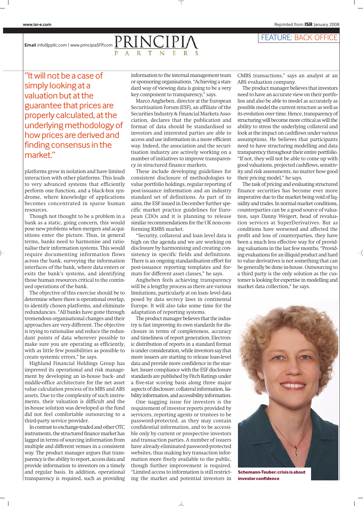#### FEATURE: BACK OFFICE

**Email** info@ppllc.com | www.principiaSFP.com  $PRINC$ 

"It will not be a case of simply looking at a valuation but at the guarantee that prices are properly calculated, at the underlying methodology of how prices are derived and finding consensus in the market."

platforms grow in isolation and have limited interaction with other platforms. This leads to very advanced systems that efficiently perform one function, and a black-box syndrome, where knowledge of applications becomes concentrated in sparse human resources.

Though not thought to be a problem in a bank as a static, going concern, this would pose new problems when mergers and acquisitions enter the picture. Thus, in general terms, banks need to harmonise and rationalise their information systems. This would require documenting information flows across the bank, surveying the information interfaces of the bank, where data enters or exits the bank's systems, and identifying those human resources critical to the continued operations of the bank.

The objective of this exercise should be to determine where there is operational overlap, to identify chosen platforms, and eliminate redundancies. "All banks have gone through tremendous organisational changes and their approaches are very different. The objective is trying to rationalise and reduce the redundant points of data wherever possible to make sure you are operating as efficiently, with as little few possibilities as possible to create systemic errors," he says.

Highland Financial Holdings Group has improved its operational and risk management by developing an in-house back- and middle-office architecture for the net asset value calculation process of its MBS and ABS assets. Due to the complexity of such instruments, their valuation is difficult and the in-house solution was developed as the fund did not feel comfortable outsourcing to a third-party service provider.

In contrast to exchange-traded and other OTC instruments, the structured finance market has lagged in terms of sourcing information from multiple and different venues in a consistent way. The product manager argues that transparency is the ability to report, access data and provide information to investors on a timely and regular basis. In addition, operational transparency is required, such as providing information to the internal management team or sponsoring organisations. "Achieving a standard way of viewing data is going to be a very key component to transparency," says.

Marco Angheben, director at the European Securitisation Forum (ESF), an affiliate of the Securities Industry & Financial Markets Association, declares that the publication and format of data should be standardised so investors and interested parties are able to access and use information in a more efficient way. Indeed, the association and the securitisation industry are actively working on a number of initiatives to improve transparency in structured finance markets.

These include developing guidelines for consistent disclosure of methodologies to value portfolio holdings, regular reporting of post-issuance information and an industry standard set of definitions. As part of its aims, the ESF issued in December further specific market practice guidelines for European CDOs and it is planning to release similar recommendations for the UK non-conforming RMBS market.

"Security, collateral and loan level data is high on the agenda and we are working on disclosure by harmonising and creating consistency in specific fields and definitions. There is an ongoing standardisation effort for post-issuance reporting templates and formats for different asset classes," he says.

Angheben feels achieving transparency will be a lengthy process as there are various limitations, particularly at on loan- level data posed by data secrecy laws in continental Europe. It will also take some time for the adaptation of reporting systems.

The product manager believes that the industry is fast improving its own standards for disclosure in terms of completeness, accuracy and timeliness of report generation. Electronic distribution of reports in a standard format is under consideration, while investors say that more issuers are starting to release loan-level data and provide more confidence in the market. Issuer compliance with the ESF disclosure standards are published by Fitch Ratings under a five-star scoring basis along three major aspects of disclosure: collateral information, liability information, and accessibility information.

One nagging issue for investors is the requirement of investor reports provided by servicers, reporting agents or trustees to be password-protected, as they may contain confidential information, and to be accessible only by current or prospective investors and transaction parties. A number of issuers have already eliminated password-protected websites, thus making key transaction information more freely available to the public, though further improvement is required. "Limited access to information is still restricting the market and potential investors in CMBS transactions," says an analyst at an ABS evaluation company.

The product manager believes that investors need to have an accurate view on their portfolios and also be able to model as accurately as possible model the current structure as well as its evolution over time. Hence, transparency of structuring will become more critical as will the ability to stress the underlying collateral and look at the impact on cashflows under various assumptions. He believes that participants need to have structuring modelling and data transparency throughout their entire portfolio. "If not, they will not be able to come up with good valuations, projected cashflows, sensitivity and risk assessments, no matter how good their pricing model," he says.

The task of pricing and evaluating structured finance securities has become ever more imperative due to the market being void of liquidity and trades. In normal market conditions, counterparties can be a good source of valuation, says Danny Weigert, head of revaluation services at SuperDerivatives. But as conditions have worsened and affected the profit and loss of counterparties, they have been a much less effective way for of providing valuations in the last few months. "Providing evaluations for an illiquid product and hard to value derivatives is not something that can be generally be done in-house. Outsourcing to a third party is the only solution as the customer is looking for expertise in modelling and market data collection," he says.



**Schemann-Teuber: crisis is about investor confidence**